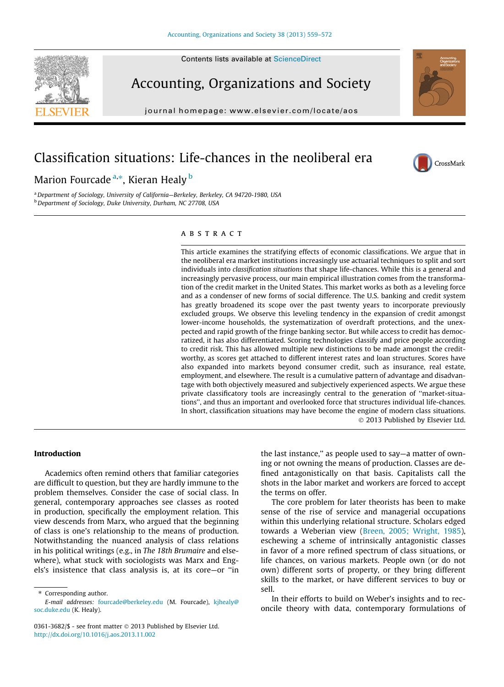Contents lists available at [ScienceDirect](http://www.sciencedirect.com/science/journal/03613682)





## Accounting, Organizations and Society

journal homepage: [www.elsevier.com/locate/aos](http://www.elsevier.com/locate/aos)

## Classification situations: Life-chances in the neoliberal era

# CrossMark

### Marion Fourcade <sup>a,</sup>\*, Kieran Healy <sup>b</sup>

<sup>a</sup> Department of Sociology, University of California-Berkeley, Berkeley, CA 94720-1980, USA b Department of Sociology, Duke University, Durham, NC 27708, USA

#### **ABSTRACT**

This article examines the stratifying effects of economic classifications. We argue that in the neoliberal era market institutions increasingly use actuarial techniques to split and sort individuals into classification situations that shape life-chances. While this is a general and increasingly pervasive process, our main empirical illustration comes from the transformation of the credit market in the United States. This market works as both as a leveling force and as a condenser of new forms of social difference. The U.S. banking and credit system has greatly broadened its scope over the past twenty years to incorporate previously excluded groups. We observe this leveling tendency in the expansion of credit amongst lower-income households, the systematization of overdraft protections, and the unexpected and rapid growth of the fringe banking sector. But while access to credit has democratized, it has also differentiated. Scoring technologies classify and price people according to credit risk. This has allowed multiple new distinctions to be made amongst the creditworthy, as scores get attached to different interest rates and loan structures. Scores have also expanded into markets beyond consumer credit, such as insurance, real estate, employment, and elsewhere. The result is a cumulative pattern of advantage and disadvantage with both objectively measured and subjectively experienced aspects. We argue these private classificatory tools are increasingly central to the generation of ''market-situations'', and thus an important and overlooked force that structures individual life-chances. In short, classification situations may have become the engine of modern class situations.  $©$  2013 Published by Elsevier Ltd.

#### Introduction

Academics often remind others that familiar categories are difficult to question, but they are hardly immune to the problem themselves. Consider the case of social class. In general, contemporary approaches see classes as rooted in production, specifically the employment relation. This view descends from Marx, who argued that the beginning of class is one's relationship to the means of production. Notwithstanding the nuanced analysis of class relations in his political writings (e.g., in The 18th Brumaire and elsewhere), what stuck with sociologists was Marx and Engels's insistence that class analysis is, at its core—or ''in

the last instance,'' as people used to say—a matter of owning or not owning the means of production. Classes are defined antagonistically on that basis. Capitalists call the shots in the labor market and workers are forced to accept the terms on offer.

The core problem for later theorists has been to make sense of the rise of service and managerial occupations within this underlying relational structure. Scholars edged towards a Weberian view [\(Breen, 2005; Wright, 1985](#page-11-0)), eschewing a scheme of intrinsically antagonistic classes in favor of a more refined spectrum of class situations, or life chances, on various markets. People own (or do not own) different sorts of property, or they bring different skills to the market, or have different services to buy or sell.

In their efforts to build on Weber's insights and to reconcile theory with data, contemporary formulations of

<sup>⇑</sup> Corresponding author.

E-mail addresses: [fourcade@berkeley.edu](mailto:fourcade@berkeley.edu) (M. Fourcade), [kjhealy@](mailto:kjhealy@soc.duke.edu) [soc.duke.edu](mailto:kjhealy@soc.duke.edu) (K. Healy).

<sup>0361-3682/\$ -</sup> see front matter @ 2013 Published by Elsevier Ltd. <http://dx.doi.org/10.1016/j.aos.2013.11.002>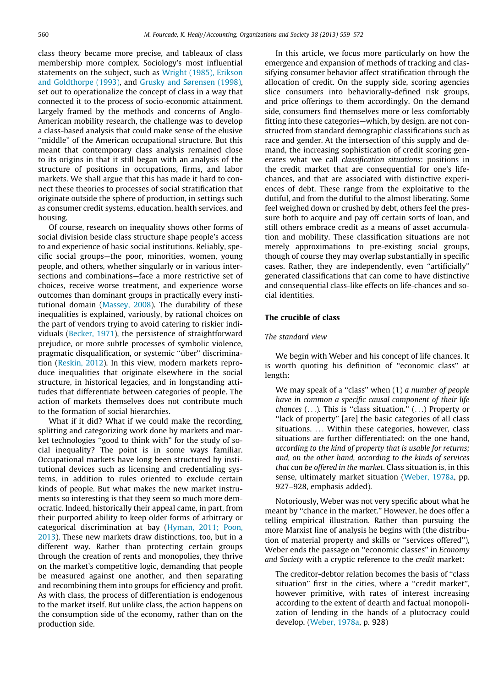class theory became more precise, and tableaux of class membership more complex. Sociology's most influential statements on the subject, such as [Wright \(1985\), Erikson](#page-13-0) [and Goldthorpe \(1993\)](#page-13-0), and [Grusky and Sørensen \(1998\)](#page-12-0), set out to operationalize the concept of class in a way that connected it to the process of socio-economic attainment. Largely framed by the methods and concerns of Anglo-American mobility research, the challenge was to develop a class-based analysis that could make sense of the elusive ''middle'' of the American occupational structure. But this meant that contemporary class analysis remained close to its origins in that it still began with an analysis of the structure of positions in occupations, firms, and labor markets. We shall argue that this has made it hard to connect these theories to processes of social stratification that originate outside the sphere of production, in settings such as consumer credit systems, education, health services, and housing.

Of course, research on inequality shows other forms of social division beside class structure shape people's access to and experience of basic social institutions. Reliably, specific social groups—the poor, minorities, women, young people, and others, whether singularly or in various intersections and combinations—face a more restrictive set of choices, receive worse treatment, and experience worse outcomes than dominant groups in practically every institutional domain ([Massey, 2008](#page-12-0)). The durability of these inequalities is explained, variously, by rational choices on the part of vendors trying to avoid catering to riskier individuals [\(Becker, 1971\)](#page-11-0), the persistence of straightforward prejudice, or more subtle processes of symbolic violence, pragmatic disqualification, or systemic ''über'' discrimination ([Reskin, 2012\)](#page-12-0). In this view, modern markets reproduce inequalities that originate elsewhere in the social structure, in historical legacies, and in longstanding attitudes that differentiate between categories of people. The action of markets themselves does not contribute much to the formation of social hierarchies.

What if it did? What if we could make the recording, splitting and categorizing work done by markets and market technologies ''good to think with'' for the study of social inequality? The point is in some ways familiar. Occupational markets have long been structured by institutional devices such as licensing and credentialing systems, in addition to rules oriented to exclude certain kinds of people. But what makes the new market instruments so interesting is that they seem so much more democratic. Indeed, historically their appeal came, in part, from their purported ability to keep older forms of arbitrary or categorical discrimination at bay ([Hyman, 2011; Poon,](#page-12-0) [2013](#page-12-0)). These new markets draw distinctions, too, but in a different way. Rather than protecting certain groups through the creation of rents and monopolies, they thrive on the market's competitive logic, demanding that people be measured against one another, and then separating and recombining them into groups for efficiency and profit. As with class, the process of differentiation is endogenous to the market itself. But unlike class, the action happens on the consumption side of the economy, rather than on the production side.

In this article, we focus more particularly on how the emergence and expansion of methods of tracking and classifying consumer behavior affect stratification through the allocation of credit. On the supply side, scoring agencies slice consumers into behaviorally-defined risk groups, and price offerings to them accordingly. On the demand side, consumers find themselves more or less comfortably fitting into these categories—which, by design, are not constructed from standard demographic classifications such as race and gender. At the intersection of this supply and demand, the increasing sophistication of credit scoring generates what we call classification situations: positions in the credit market that are consequential for one's lifechances, and that are associated with distinctive experiences of debt. These range from the exploitative to the dutiful, and from the dutiful to the almost liberating. Some feel weighed down or crushed by debt, others feel the pressure both to acquire and pay off certain sorts of loan, and still others embrace credit as a means of asset accumulation and mobility. These classification situations are not merely approximations to pre-existing social groups, though of course they may overlap substantially in specific cases. Rather, they are independently, even ''artificially'' generated classifications that can come to have distinctive and consequential class-like effects on life-chances and social identities.

#### The crucible of class

#### The standard view

We begin with Weber and his concept of life chances. It is worth quoting his definition of ''economic class'' at length:

We may speak of a "class" when  $(1)$  a number of people have in common a specific causal component of their life chances  $(...)$ . This is "class situation."  $(...)$  Property or ''lack of property'' [are] the basic categories of all class situations. ... Within these categories, however, class situations are further differentiated: on the one hand, according to the kind of property that is usable for returns; and, on the other hand, according to the kinds of services that can be offered in the market. Class situation is, in this sense, ultimately market situation ([Weber, 1978a](#page-12-0), pp. 927–928, emphasis added).

Notoriously, Weber was not very specific about what he meant by ''chance in the market.'' However, he does offer a telling empirical illustration. Rather than pursuing the more Marxist line of analysis he begins with (the distribution of material property and skills or ''services offered''), Weber ends the passage on ''economic classes'' in Economy and Society with a cryptic reference to the credit market:

The creditor-debtor relation becomes the basis of ''class situation" first in the cities, where a "credit market", however primitive, with rates of interest increasing according to the extent of dearth and factual monopolization of lending in the hands of a plutocracy could develop. [\(Weber, 1978a](#page-12-0), p. 928)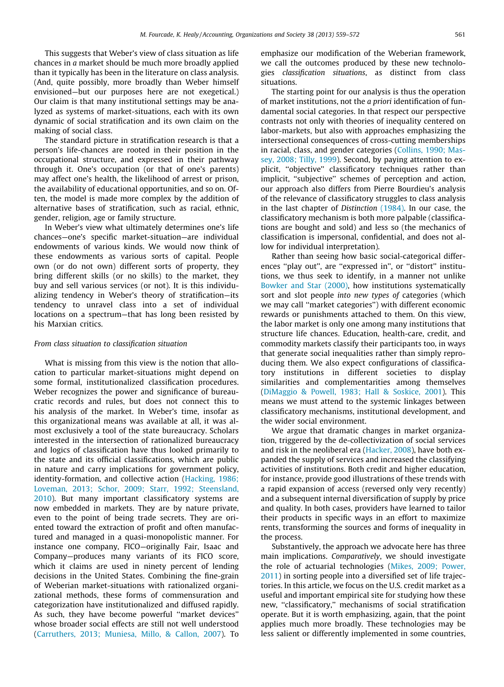This suggests that Weber's view of class situation as life chances in a market should be much more broadly applied than it typically has been in the literature on class analysis. (And, quite possibly, more broadly than Weber himself envisioned—but our purposes here are not exegetical.) Our claim is that many institutional settings may be analyzed as systems of market-situations, each with its own dynamic of social stratification and its own claim on the making of social class.

The standard picture in stratification research is that a person's life-chances are rooted in their position in the occupational structure, and expressed in their pathway through it. One's occupation (or that of one's parents) may affect one's health, the likelihood of arrest or prison, the availability of educational opportunities, and so on. Often, the model is made more complex by the addition of alternative bases of stratification, such as racial, ethnic, gender, religion, age or family structure.

In Weber's view what ultimately determines one's life chances—one's specific market-situation—are individual endowments of various kinds. We would now think of these endowments as various sorts of capital. People own (or do not own) different sorts of property, they bring different skills (or no skills) to the market, they buy and sell various services (or not). It is this individualizing tendency in Weber's theory of stratification—its tendency to unravel class into a set of individual locations on a spectrum—that has long been resisted by his Marxian critics.

#### From class situation to classification situation

What is missing from this view is the notion that allocation to particular market-situations might depend on some formal, institutionalized classification procedures. Weber recognizes the power and significance of bureaucratic records and rules, but does not connect this to his analysis of the market. In Weber's time, insofar as this organizational means was available at all, it was almost exclusively a tool of the state bureaucracy. Scholars interested in the intersection of rationalized bureaucracy and logics of classification have thus looked primarily to the state and its official classifications, which are public in nature and carry implications for government policy, identity-formation, and collective action ([Hacking, 1986;](#page-12-0) [Loveman, 2013; Schor, 2009; Starr, 1992; Steensland,](#page-12-0) [2010\)](#page-12-0). But many important classificatory systems are now embedded in markets. They are by nature private, even to the point of being trade secrets. They are oriented toward the extraction of profit and often manufactured and managed in a quasi-monopolistic manner. For instance one company, FICO—originally Fair, Isaac and Company—produces many variants of its FICO score, which it claims are used in ninety percent of lending decisions in the United States. Combining the fine-grain of Weberian market-situations with rationalized organizational methods, these forms of commensuration and categorization have institutionalized and diffused rapidly. As such, they have become powerful ''market devices'' whose broader social effects are still not well understood ([Carruthers, 2013; Muniesa, Millo, & Callon, 2007\)](#page-11-0). To emphasize our modification of the Weberian framework, we call the outcomes produced by these new technologies classification situations, as distinct from class situations.

The starting point for our analysis is thus the operation of market institutions, not the a priori identification of fundamental social categories. In that respect our perspective contrasts not only with theories of inequality centered on labor-markets, but also with approaches emphasizing the intersectional consequences of cross-cutting memberships in racial, class, and gender categories [\(Collins, 1990; Mas](#page-11-0)[sey, 2008; Tilly, 1999\)](#page-11-0). Second, by paying attention to explicit, ''objective'' classificatory techniques rather than implicit, ''subjective'' schemes of perception and action, our approach also differs from Pierre Bourdieu's analysis of the relevance of classificatory struggles to class analysis in the last chapter of Distinction [\(1984\)](#page-11-0). In our case, the classificatory mechanism is both more palpable (classifications are bought and sold) and less so (the mechanics of classification is impersonal, confidential, and does not allow for individual interpretation).

Rather than seeing how basic social-categorical differences "play out", are "expressed in", or "distort" institutions, we thus seek to identify, in a manner not unlike [Bowker and Star \(2000\),](#page-11-0) how institutions systematically sort and slot people into new types of categories (which we may call ''market categories'') with different economic rewards or punishments attached to them. On this view, the labor market is only one among many institutions that structure life chances. Education, health-care, credit, and commodity markets classify their participants too, in ways that generate social inequalities rather than simply reproducing them. We also expect configurations of classificatory institutions in different societies to display similarities and complementarities among themselves [\(DiMaggio & Powell, 1983; Hall & Soskice, 2001\)](#page-11-0). This means we must attend to the systemic linkages between classificatory mechanisms, institutional development, and the wider social environment.

We argue that dramatic changes in market organization, triggered by the de-collectivization of social services and risk in the neoliberal era [\(Hacker, 2008](#page-12-0)), have both expanded the supply of services and increased the classifying activities of institutions. Both credit and higher education, for instance, provide good illustrations of these trends with a rapid expansion of access (reversed only very recently) and a subsequent internal diversification of supply by price and quality. In both cases, providers have learned to tailor their products in specific ways in an effort to maximize rents, transforming the sources and forms of inequality in the process.

Substantively, the approach we advocate here has three main implications. Comparatively, we should investigate the role of actuarial technologies [\(Mikes, 2009; Power,](#page-12-0) [2011\)](#page-12-0) in sorting people into a diversified set of life trajectories. In this article, we focus on the U.S. credit market as a useful and important empirical site for studying how these new, ''classificatory,'' mechanisms of social stratification operate. But it is worth emphasizing, again, that the point applies much more broadly. These technologies may be less salient or differently implemented in some countries,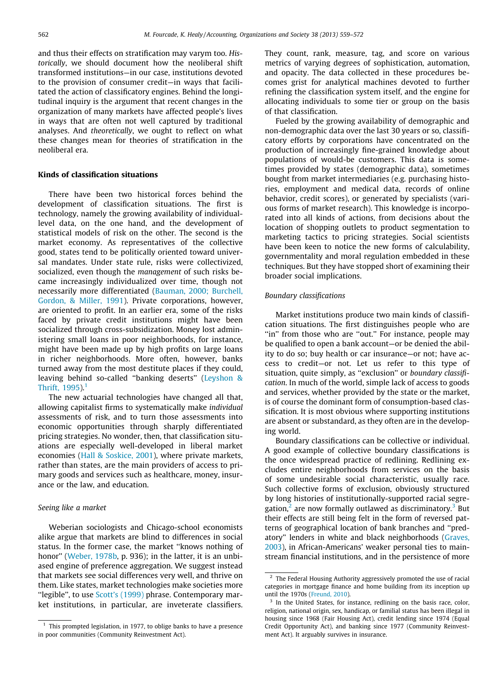and thus their effects on stratification may varym too. Historically, we should document how the neoliberal shift transformed institutions—in our case, institutions devoted to the provision of consumer credit—in ways that facilitated the action of classificatory engines. Behind the longitudinal inquiry is the argument that recent changes in the organization of many markets have affected people's lives in ways that are often not well captured by traditional analyses. And theoretically, we ought to reflect on what these changes mean for theories of stratification in the neoliberal era.

#### Kinds of classification situations

There have been two historical forces behind the development of classification situations. The first is technology, namely the growing availability of individuallevel data, on the one hand, and the development of statistical models of risk on the other. The second is the market economy. As representatives of the collective good, states tend to be politically oriented toward universal mandates. Under state rule, risks were collectivized, socialized, even though the management of such risks became increasingly individualized over time, though not necessarily more differentiated ([Bauman, 2000; Burchell,](#page-11-0) [Gordon, & Miller, 1991\)](#page-11-0). Private corporations, however, are oriented to profit. In an earlier era, some of the risks faced by private credit institutions might have been socialized through cross-subsidization. Money lost administering small loans in poor neighborhoods, for instance, might have been made up by high profits on large loans in richer neighborhoods. More often, however, banks turned away from the most destitute places if they could, leaving behind so-called ''banking deserts'' ([Leyshon &](#page-12-0) Thrift,  $1995$ ).<sup>1</sup>

The new actuarial technologies have changed all that, allowing capitalist firms to systematically make individual assessments of risk, and to turn those assessments into economic opportunities through sharply differentiated pricing strategies. No wonder, then, that classification situations are especially well-developed in liberal market economies [\(Hall & Soskice, 2001\)](#page-12-0), where private markets, rather than states, are the main providers of access to primary goods and services such as healthcare, money, insurance or the law, and education.

#### Seeing like a market

Weberian sociologists and Chicago-school economists alike argue that markets are blind to differences in social status. In the former case, the market ''knows nothing of honor" ([Weber, 1978b](#page-12-0), p. 936); in the latter, it is an unbiased engine of preference aggregation. We suggest instead that markets see social differences very well, and thrive on them. Like states, market technologies make societies more ''legible'', to use [Scott's \(1999\)](#page-12-0) phrase. Contemporary market institutions, in particular, are inveterate classifiers.

They count, rank, measure, tag, and score on various metrics of varying degrees of sophistication, automation, and opacity. The data collected in these procedures becomes grist for analytical machines devoted to further refining the classification system itself, and the engine for allocating individuals to some tier or group on the basis of that classification.

Fueled by the growing availability of demographic and non-demographic data over the last 30 years or so, classificatory efforts by corporations have concentrated on the production of increasingly fine-grained knowledge about populations of would-be customers. This data is sometimes provided by states (demographic data), sometimes bought from market intermediaries (e.g. purchasing histories, employment and medical data, records of online behavior, credit scores), or generated by specialists (various forms of market research). This knowledge is incorporated into all kinds of actions, from decisions about the location of shopping outlets to product segmentation to marketing tactics to pricing strategies. Social scientists have been keen to notice the new forms of calculability, governmentality and moral regulation embedded in these techniques. But they have stopped short of examining their broader social implications.

#### Boundary classifications

Market institutions produce two main kinds of classification situations. The first distinguishes people who are "in" from those who are "out." For instance, people may be qualified to open a bank account—or be denied the ability to do so; buy health or car insurance—or not; have access to credit—or not. Let us refer to this type of situation, quite simply, as "exclusion" or boundary classification. In much of the world, simple lack of access to goods and services, whether provided by the state or the market, is of course the dominant form of consumption-based classification. It is most obvious where supporting institutions are absent or substandard, as they often are in the developing world.

Boundary classifications can be collective or individual. A good example of collective boundary classifications is the once widespread practice of redlining. Redlining excludes entire neighborhoods from services on the basis of some undesirable social characteristic, usually race. Such collective forms of exclusion, obviously structured by long histories of institutionally-supported racial segregation, $<sup>2</sup>$  are now formally outlawed as discriminatory.<sup>3</sup> But</sup> their effects are still being felt in the form of reversed patterns of geographical location of bank branches and ''predatory'' lenders in white and black neighborhoods ([Graves,](#page-12-0) [2003\)](#page-12-0), in African-Americans' weaker personal ties to mainstream financial institutions, and in the persistence of more

 $1$  This prompted legislation, in 1977, to oblige banks to have a presence in poor communities (Community Reinvestment Act).

<sup>2</sup> The Federal Housing Authority aggressively promoted the use of racial categories in mortgage finance and home building from its inception up until the 1970s [\(Freund, 2010](#page-11-0)).

In the United States, for instance, redlining on the basis race, color, religion, national origin, sex, handicap, or familial status has been illegal in housing since 1968 (Fair Housing Act), credit lending since 1974 (Equal Credit Opportunity Act), and banking since 1977 (Community Reinvestment Act). It arguably survives in insurance.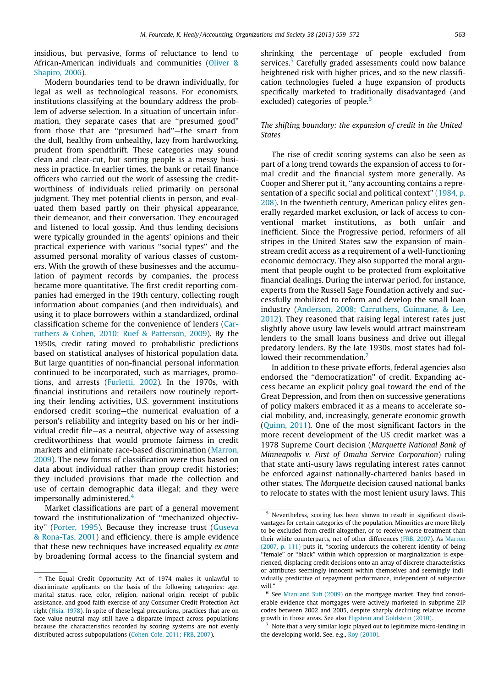insidious, but pervasive, forms of reluctance to lend to African-American individuals and communities ([Oliver &](#page-12-0) [Shapiro, 2006](#page-12-0)).

Modern boundaries tend to be drawn individually, for legal as well as technological reasons. For economists, institutions classifying at the boundary address the problem of adverse selection. In a situation of uncertain information, they separate cases that are ''presumed good'' from those that are ''presumed bad''—the smart from the dull, healthy from unhealthy, lazy from hardworking, prudent from spendthrift. These categories may sound clean and clear-cut, but sorting people is a messy business in practice. In earlier times, the bank or retail finance officers who carried out the work of assessing the creditworthiness of individuals relied primarily on personal judgment. They met potential clients in person, and evaluated them based partly on their physical appearance, their demeanor, and their conversation. They encouraged and listened to local gossip. And thus lending decisions were typically grounded in the agents' opinions and their practical experience with various ''social types'' and the assumed personal morality of various classes of customers. With the growth of these businesses and the accumulation of payment records by companies, the process became more quantitative. The first credit reporting companies had emerged in the 19th century, collecting rough information about companies (and then individuals), and using it to place borrowers within a standardized, ordinal classification scheme for the convenience of lenders [\(Car](#page-11-0)[ruthers & Cohen, 2010; Ruef & Patterson, 2009\)](#page-11-0). By the 1950s, credit rating moved to probabilistic predictions based on statistical analyses of historical population data. But large quantities of non-financial personal information continued to be incorporated, such as marriages, promotions, and arrests [\(Furletti, 2002\)](#page-12-0). In the 1970s, with financial institutions and retailers now routinely reporting their lending activities, U.S. government institutions endorsed credit scoring—the numerical evaluation of a person's reliability and integrity based on his or her individual credit file—as a neutral, objective way of assessing creditworthiness that would promote fairness in credit markets and eliminate race-based discrimination [\(Marron,](#page-12-0) [2009\)](#page-12-0). The new forms of classification were thus based on data about individual rather than group credit histories; they included provisions that made the collection and use of certain demographic data illegal; and they were impersonally administered.<sup>4</sup>

Market classifications are part of a general movement toward the institutionalization of ''mechanized objectivity'' ([Porter, 1995](#page-12-0)). Because they increase trust ([Guseva](#page-12-0) [& Rona-Tas, 2001\)](#page-12-0) and efficiency, there is ample evidence that these new techniques have increased equality ex ante by broadening formal access to the financial system and shrinking the percentage of people excluded from services.<sup>5</sup> Carefully graded assessments could now balance heightened risk with higher prices, and so the new classification technologies fueled a huge expansion of products specifically marketed to traditionally disadvantaged (and excluded) categories of people.<sup>6</sup>

#### The shifting boundary: the expansion of credit in the United States

The rise of credit scoring systems can also be seen as part of a long trend towards the expansion of access to formal credit and the financial system more generally. As Cooper and Sherer put it, ''any accounting contains a repre-sentation of a specific social and political context" [\(1984, p.](#page-11-0) [208\)](#page-11-0). In the twentieth century, American policy elites generally regarded market exclusion, or lack of access to conventional market institutions, as both unfair and inefficient. Since the Progressive period, reformers of all stripes in the United States saw the expansion of mainstream credit access as a requirement of a well-functioning economic democracy. They also supported the moral argument that people ought to be protected from exploitative financial dealings. During the interwar period, for instance, experts from the Russell Sage Foundation actively and successfully mobilized to reform and develop the small loan industry [\(Anderson, 2008; Carruthers, Guinnane, & Lee,](#page-11-0) [2012\)](#page-11-0). They reasoned that raising legal interest rates just slightly above usury law levels would attract mainstream lenders to the small loans business and drive out illegal predatory lenders. By the late 1930s, most states had followed their recommendation.<sup>7</sup>

In addition to these private efforts, federal agencies also endorsed the ''democratization'' of credit. Expanding access became an explicit policy goal toward the end of the Great Depression, and from then on successive generations of policy makers embraced it as a means to accelerate social mobility, and, increasingly, generate economic growth [\(Quinn, 2011](#page-12-0)). One of the most significant factors in the more recent development of the US credit market was a 1978 Supreme Court decision (Marquette National Bank of Minneapolis v. First of Omaha Service Corporation) ruling that state anti-usury laws regulating interest rates cannot be enforced against nationally-chartered banks based in other states. The Marquette decision caused national banks to relocate to states with the most lenient usury laws. This

<sup>4</sup> The Equal Credit Opportunity Act of 1974 makes it unlawful to discriminate applicants on the basis of the following categories: age, marital status, race, color, religion, national origin, receipt of public assistance, and good faith exercise of any Consumer Credit Protection Act right ([Hsia, 1978\)](#page-12-0). In spite of these legal precautions, practices that are on face value-neutral may still have a disparate impact across populations because the characteristics recorded by scoring systems are not evenly distributed across subpopulations ([Cohen-Cole, 2011; FRB, 2007\)](#page-11-0).

<sup>5</sup> Nevertheless, scoring has been shown to result in significant disadvantages for certain categories of the population. Minorities are more likely to be excluded from credit altogether, or to receive worse treatment than their white counterparts, net of other differences [\(FRB, 2007](#page-11-0)). As [Marron](#page-12-0) [\(2007, p. 111\)](#page-12-0) puts it, ''scoring undercuts the coherent identity of being ''female'' or ''black'' within which oppression or marginalization is experienced, displacing credit decisions onto an array of discrete characteristics or attributes seemingly innocent within themselves and seemingly individually predictive of repayment performance, independent of subjective will<sup>'</sup>

<sup>6</sup> See [Mian and Sufi \(2009\)](#page-12-0) on the mortgage market. They find considerable evidence that mortgages were actively marketed in subprime ZIP codes between 2002 and 2005, despite sharply declining relative income growth in those areas. See also [Fligstein and Goldstein \(2010\)](#page-11-0).

 $7$  Note that a very similar logic played out to legitimize micro-lending in the developing world. See, e.g., [Roy \(2010\).](#page-12-0)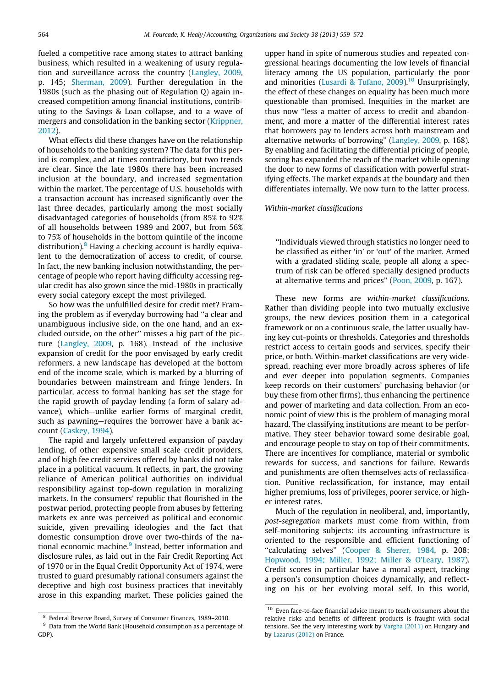fueled a competitive race among states to attract banking business, which resulted in a weakening of usury regulation and surveillance across the country ([Langley, 2009](#page-12-0), p. 145; [Sherman, 2009\)](#page-12-0). Further deregulation in the 1980s (such as the phasing out of Regulation Q) again increased competition among financial institutions, contributing to the Savings & Loan collapse, and to a wave of mergers and consolidation in the banking sector [\(Krippner,](#page-12-0) [2012](#page-12-0)).

What effects did these changes have on the relationship of households to the banking system? The data for this period is complex, and at times contradictory, but two trends are clear. Since the late 1980s there has been increased inclusion at the boundary, and increased segmentation within the market. The percentage of U.S. households with a transaction account has increased significantly over the last three decades, particularly among the most socially disadvantaged categories of households (from 85% to 92% of all households between 1989 and 2007, but from 56% to 75% of households in the bottom quintile of the income distribution).<sup>8</sup> Having a checking account is hardly equivalent to the democratization of access to credit, of course. In fact, the new banking inclusion notwithstanding, the percentage of people who report having difficulty accessing regular credit has also grown since the mid-1980s in practically every social category except the most privileged.

So how was the unfulfilled desire for credit met? Framing the problem as if everyday borrowing had ''a clear and unambiguous inclusive side, on the one hand, and an excluded outside, on the other'' misses a big part of the picture [\(Langley, 2009,](#page-12-0) p. 168). Instead of the inclusive expansion of credit for the poor envisaged by early credit reformers, a new landscape has developed at the bottom end of the income scale, which is marked by a blurring of boundaries between mainstream and fringe lenders. In particular, access to formal banking has set the stage for the rapid growth of payday lending (a form of salary advance), which—unlike earlier forms of marginal credit, such as pawning—requires the borrower have a bank account [\(Caskey, 1994](#page-11-0)).

The rapid and largely unfettered expansion of payday lending, of other expensive small scale credit providers, and of high fee credit services offered by banks did not take place in a political vacuum. It reflects, in part, the growing reliance of American political authorities on individual responsibility against top-down regulation in moralizing markets. In the consumers' republic that flourished in the postwar period, protecting people from abuses by fettering markets ex ante was perceived as political and economic suicide, given prevailing ideologies and the fact that domestic consumption drove over two-thirds of the national economic machine.<sup>9</sup> Instead, better information and disclosure rules, as laid out in the Fair Credit Reporting Act of 1970 or in the Equal Credit Opportunity Act of 1974, were trusted to guard presumably rational consumers against the deceptive and high cost business practices that inevitably arose in this expanding market. These policies gained the upper hand in spite of numerous studies and repeated congressional hearings documenting the low levels of financial literacy among the US population, particularly the poor and minorities ([Lusardi & Tufano, 2009](#page-12-0)).<sup>10</sup> Unsurprisingly, the effect of these changes on equality has been much more questionable than promised. Inequities in the market are thus now ''less a matter of access to credit and abandonment, and more a matter of the differential interest rates that borrowers pay to lenders across both mainstream and alternative networks of borrowing'' [\(Langley, 2009,](#page-12-0) p. 168). By enabling and facilitating the differential pricing of people, scoring has expanded the reach of the market while opening the door to new forms of classification with powerful stratifying effects. The market expands at the boundary and then differentiates internally. We now turn to the latter process.

#### Within-market classifications

''Individuals viewed through statistics no longer need to be classified as either 'in' or 'out' of the market. Armed with a gradated sliding scale, people all along a spectrum of risk can be offered specially designed products at alternative terms and prices'' [\(Poon, 2009,](#page-12-0) p. 167).

These new forms are within-market classifications. Rather than dividing people into two mutually exclusive groups, the new devices position them in a categorical framework or on a continuous scale, the latter usually having key cut-points or thresholds. Categories and thresholds restrict access to certain goods and services, specify their price, or both. Within-market classifications are very widespread, reaching ever more broadly across spheres of life and ever deeper into population segments. Companies keep records on their customers' purchasing behavior (or buy these from other firms), thus enhancing the pertinence and power of marketing and data collection. From an economic point of view this is the problem of managing moral hazard. The classifying institutions are meant to be performative. They steer behavior toward some desirable goal, and encourage people to stay on top of their commitments. There are incentives for compliance, material or symbolic rewards for success, and sanctions for failure. Rewards and punishments are often themselves acts of reclassification. Punitive reclassification, for instance, may entail higher premiums, loss of privileges, poorer service, or higher interest rates.

Much of the regulation in neoliberal, and, importantly, post-segregation markets must come from within, from self-monitoring subjects: its accounting infrastructure is oriented to the responsible and efficient functioning of "calculating selves" [\(Cooper & Sherer, 1984](#page-11-0), p. 208; [Hopwood, 1994; Miller, 1992; Miller & O'Leary, 1987](#page-12-0)). Credit scores in particular have a moral aspect, tracking a person's consumption choices dynamically, and reflecting on his or her evolving moral self. In this world,

<sup>8</sup> Federal Reserve Board, Survey of Consumer Finances, 1989–2010.

 $9$  Data from the World Bank (Household consumption as a percentage of GDP).

 $^{10}\,$  Even face-to-face financial advice meant to teach consumers about the relative risks and benefits of different products is fraught with social tensions. See the very interesting work by [Vargha \(2011\)](#page-12-0) on Hungary and by [Lazarus \(2012\)](#page-12-0) on France.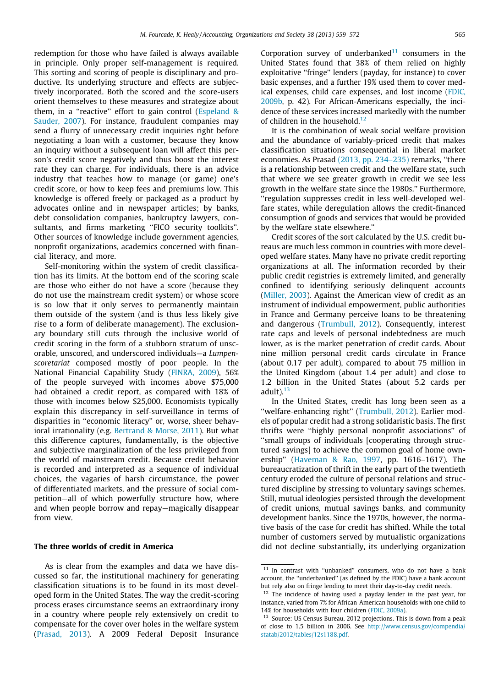redemption for those who have failed is always available in principle. Only proper self-management is required. This sorting and scoring of people is disciplinary and productive. Its underlying structure and effects are subjectively incorporated. Both the scored and the score-users orient themselves to these measures and strategize about them, in a ''reactive'' effort to gain control [\(Espeland &](#page-11-0) [Sauder, 2007](#page-11-0)). For instance, fraudulent companies may send a flurry of unnecessary credit inquiries right before negotiating a loan with a customer, because they know an inquiry without a subsequent loan will affect this person's credit score negatively and thus boost the interest rate they can charge. For individuals, there is an advice industry that teaches how to manage (or game) one's credit score, or how to keep fees and premiums low. This knowledge is offered freely or packaged as a product by advocates online and in newspaper articles; by banks, debt consolidation companies, bankruptcy lawyers, consultants, and firms marketing "FICO security toolkits". Other sources of knowledge include government agencies, nonprofit organizations, academics concerned with financial literacy, and more.

Self-monitoring within the system of credit classification has its limits. At the bottom end of the scoring scale are those who either do not have a score (because they do not use the mainstream credit system) or whose score is so low that it only serves to permanently maintain them outside of the system (and is thus less likely give rise to a form of deliberate management). The exclusionary boundary still cuts through the inclusive world of credit scoring in the form of a stubborn stratum of unscorable, unscored, and underscored individuals—a Lumpenscoretariat composed mostly of poor people. In the National Financial Capability Study ([FINRA, 2009\)](#page-11-0), 56% of the people surveyed with incomes above \$75,000 had obtained a credit report, as compared with 18% of those with incomes below \$25,000. Economists typically explain this discrepancy in self-surveillance in terms of disparities in ''economic literacy'' or, worse, sheer behavioral irrationality (e.g. [Bertrand & Morse, 2011](#page-11-0)). But what this difference captures, fundamentally, is the objective and subjective marginalization of the less privileged from the world of mainstream credit. Because credit behavior is recorded and interpreted as a sequence of individual choices, the vagaries of harsh circumstance, the power of differentiated markets, and the pressure of social competition—all of which powerfully structure how, where and when people borrow and repay—magically disappear from view.

#### The three worlds of credit in America

As is clear from the examples and data we have discussed so far, the institutional machinery for generating classification situations is to be found in its most developed form in the United States. The way the credit-scoring process erases circumstance seems an extraordinary irony in a country where people rely extensively on credit to compensate for the cover over holes in the welfare system ([Prasad, 2013](#page-12-0)). A 2009 Federal Deposit Insurance Corporation survey of underbanked $11$  consumers in the United States found that 38% of them relied on highly exploitative "fringe" lenders (payday, for instance) to cover basic expenses, and a further 19% used them to cover medical expenses, child care expenses, and lost income [\(FDIC,](#page-11-0) [2009b,](#page-11-0) p. 42). For African-Americans especially, the incidence of these services increased markedly with the number of children in the household. $12$ 

It is the combination of weak social welfare provision and the abundance of variably-priced credit that makes classification situations consequential in liberal market economies. As Prasad [\(2013, pp. 234–235\)](#page-12-0) remarks, ''there is a relationship between credit and the welfare state, such that where we see greater growth in credit we see less growth in the welfare state since the 1980s.'' Furthermore, ''regulation suppresses credit in less well-developed welfare states, while deregulation allows the credit-financed consumption of goods and services that would be provided by the welfare state elsewhere.''

Credit scores of the sort calculated by the U.S. credit bureaus are much less common in countries with more developed welfare states. Many have no private credit reporting organizations at all. The information recorded by their public credit registries is extremely limited, and generally confined to identifying seriously delinquent accounts [\(Miller, 2003\)](#page-12-0). Against the American view of credit as an instrument of individual empowerment, public authorities in France and Germany perceive loans to be threatening and dangerous ([Trumbull, 2012](#page-12-0)). Consequently, interest rate caps and levels of personal indebtedness are much lower, as is the market penetration of credit cards. About nine million personal credit cards circulate in France (about 0.17 per adult), compared to about 75 million in the United Kingdom (about 1.4 per adult) and close to 1.2 billion in the United States (about 5.2 cards per adult $\mathcal{L}^{13}$ 

In the United States, credit has long been seen as a ''welfare-enhancing right'' ([Trumbull, 2012\)](#page-12-0). Earlier models of popular credit had a strong solidaristic basis. The first thrifts were ''highly personal nonprofit associations'' of ''small groups of individuals [cooperating through structured savings] to achieve the common goal of home ownership'' ([Haveman & Rao, 1997](#page-12-0), pp. 1616–1617). The bureaucratization of thrift in the early part of the twentieth century eroded the culture of personal relations and structured discipline by stressing to voluntary savings schemes. Still, mutual ideologies persisted through the development of credit unions, mutual savings banks, and community development banks. Since the 1970s, however, the normative basis of the case for credit has shifted. While the total number of customers served by mutualistic organizations did not decline substantially, its underlying organization

<sup>&</sup>lt;sup>11</sup> In contrast with "unbanked" consumers, who do not have a bank account, the ''underbanked'' (as defined by the FDIC) have a bank account but rely also on fringe lending to meet their day-to-day credit needs.

<sup>&</sup>lt;sup>12</sup> The incidence of having used a payday lender in the past year, for instance, varied from 7% for African-American households with one child to 14% for households with four children [\(FDIC, 2009a\)](#page-11-0).

<sup>&</sup>lt;sup>13</sup> Source: US Census Bureau, 2012 projections. This is down from a peak of close to 1.5 billion in 2006. See [http://www.census.gov/compendia/](http://www.census.gov/compendia/statab/2012/tables/12s1188.pdf) [statab/2012/tables/12s1188.pdf](http://www.census.gov/compendia/statab/2012/tables/12s1188.pdf).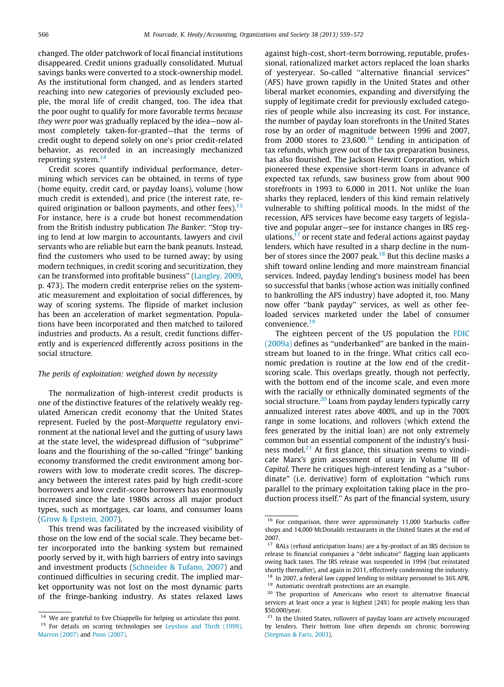changed. The older patchwork of local financial institutions disappeared. Credit unions gradually consolidated. Mutual savings banks were converted to a stock-ownership model. As the institutional form changed, and as lenders started reaching into new categories of previously excluded people, the moral life of credit changed, too. The idea that the poor ought to qualify for more favorable terms because they were poor was gradually replaced by the idea—now almost completely taken-for-granted—that the terms of credit ought to depend solely on one's prior credit-related behavior, as recorded in an increasingly mechanized reporting system. $^{14}$ 

Credit scores quantify individual performance, determining which services can be obtained, in terms of type (home equity, credit card, or payday loans), volume (how much credit is extended), and price (the interest rate, required origination or balloon payments, and other fees). $15$ For instance, here is a crude but honest recommendation from the British industry publication The Banker: ''Stop trying to lend at low margin to accountants, lawyers and civil servants who are reliable but earn the bank peanuts. Instead, find the customers who used to be turned away; by using modern techniques, in credit scoring and securitization, they can be transformed into profitable business'' ([Langley, 2009,](#page-12-0) p. 473). The modern credit enterprise relies on the systematic measurement and exploitation of social differences, by way of scoring systems. The flipside of market inclusion has been an acceleration of market segmentation. Populations have been incorporated and then matched to tailored industries and products. As a result, credit functions differently and is experienced differently across positions in the social structure.

#### The perils of exploitation: weighed down by necessity

The normalization of high-interest credit products is one of the distinctive features of the relatively weakly regulated American credit economy that the United States represent. Fueled by the post-Marquette regulatory environment at the national level and the gutting of usury laws at the state level, the widespread diffusion of ''subprime'' loans and the flourishing of the so-called "fringe" banking economy transformed the credit environment among borrowers with low to moderate credit scores. The discrepancy between the interest rates paid by high credit-score borrowers and low credit-score borrowers has enormously increased since the late 1980s across all major product types, such as mortgages, car loans, and consumer loans [\(Grow & Epstein, 2007](#page-12-0)).

This trend was facilitated by the increased visibility of those on the low end of the social scale. They became better incorporated into the banking system but remained poorly served by it, with high barriers of entry into savings and investment products [\(Schneider & Tufano, 2007](#page-12-0)) and continued difficulties in securing credit. The implied market opportunity was not lost on the most dynamic parts of the fringe-banking industry. As states relaxed laws

against high-cost, short-term borrowing, reputable, professional, rationalized market actors replaced the loan sharks of yesteryear. So-called ''alternative financial services'' (AFS) have grown rapidly in the United States and other liberal market economies, expanding and diversifying the supply of legitimate credit for previously excluded categories of people while also increasing its cost. For instance, the number of payday loan storefronts in the United States rose by an order of magnitude between 1996 and 2007, from 2000 stores to  $23,600$ .<sup>16</sup> Lending in anticipation of tax refunds, which grew out of the tax preparation business, has also flourished. The Jackson Hewitt Corporation, which pioneered these expensive short-term loans in advance of expected tax refunds, saw business grow from about 900 storefronts in 1993 to 6,000 in 2011. Not unlike the loan sharks they replaced, lenders of this kind remain relatively vulnerable to shifting political moods. In the midst of the recession, AFS services have become easy targets of legislative and popular anger—see for instance changes in IRS regulations, $17$  or recent state and federal actions against payday lenders, which have resulted in a sharp decline in the number of stores since the 2007 peak.<sup>18</sup> But this decline masks a shift toward online lending and more mainstream financial services. Indeed, payday lending's business model has been so successful that banks (whose action was initially confined to bankrolling the AFS industry) have adopted it, too. Many now offer ''bank payday'' services, as well as other feeloaded services marketed under the label of consumer convenience.<sup>19</sup>

The eighteen percent of the US population the [FDIC](#page-11-0) [\(2009a\)](#page-11-0) defines as ''underbanked'' are banked in the mainstream but loaned to in the fringe. What critics call economic predation is routine at the low end of the creditscoring scale. This overlaps greatly, though not perfectly, with the bottom end of the income scale, and even more with the racially or ethnically dominated segments of the social structure.<sup>20</sup> Loans from payday lenders typically carry annualized interest rates above 400%, and up in the 700% range in some locations, and rollovers (which extend the fees generated by the initial loan) are not only extremely common but an essential component of the industry's business model. $21$  At first glance, this situation seems to vindicate Marx's grim assessment of usury in Volume III of Capital. There he critiques high-interest lending as a ''subordinate'' (i.e. derivative) form of exploitation ''which runs parallel to the primary exploitation taking place in the production process itself.'' As part of the financial system, usury

<sup>&</sup>lt;sup>14</sup> We are grateful to Eve Chiappello for helping us articulate this point. <sup>15</sup> For details on scoring technologies see [Leyshon and Thrift \(1999\),](#page-12-0) [Marron \(2007\)](#page-12-0) and [Poon \(2007\)](#page-12-0).

<sup>&</sup>lt;sup>16</sup> For comparison, there were approximately 11,000 Starbucks coffee shops and 14,000 McDonalds restaurants in the United States at the end of 2007.

<sup>&</sup>lt;sup>17</sup> RALs (refund anticipation loans) are a by-product of an IRS decision to release to financial companies a ''debt indicator'' flagging loan applicants owing back taxes. The IRS release was suspended in 1994 (but reinstated shortly thereafter), and again in 2011, effectively condemning the industry. <sup>18</sup> In 2007, a federal law capped lending to military personnel to 36% APR. <sup>19</sup> Automatic overdraft protections are an example.

<sup>&</sup>lt;sup>20</sup> The proportion of Americans who resort to alternative financial services at least once a year is highest (24%) for people making less than \$50,000/year.

 $21$  In the United States, rollovers of payday loans are actively encouraged by lenders. Their bottom line often depends on chronic borrowing ([Stegman & Faris, 2003](#page-12-0)).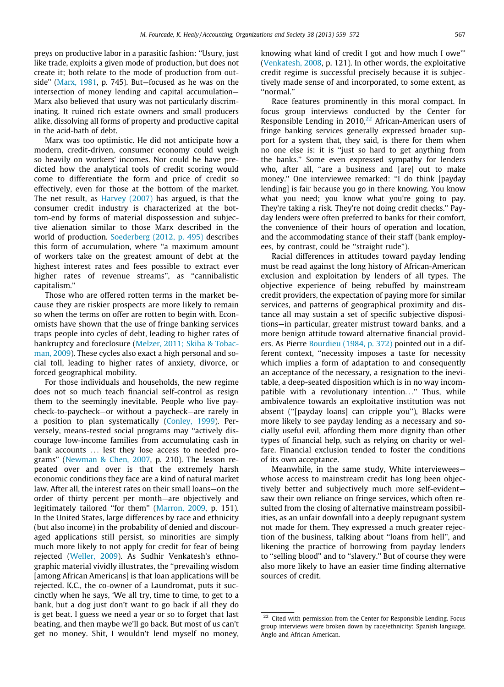preys on productive labor in a parasitic fashion: ''Usury, just like trade, exploits a given mode of production, but does not create it; both relate to the mode of production from outside'' ([Marx, 1981,](#page-12-0) p. 745). But—focused as he was on the intersection of money lending and capital accumulation— Marx also believed that usury was not particularly discriminating. It ruined rich estate owners and small producers alike, dissolving all forms of property and productive capital in the acid-bath of debt.

Marx was too optimistic. He did not anticipate how a modern, credit-driven, consumer economy could weigh so heavily on workers' incomes. Nor could he have predicted how the analytical tools of credit scoring would come to differentiate the form and price of credit so effectively, even for those at the bottom of the market. The net result, as [Harvey \(2007\)](#page-12-0) has argued, is that the consumer credit industry is characterized at the bottom-end by forms of material dispossession and subjective alienation similar to those Marx described in the world of production. [Soederberg \(2012, p. 495\)](#page-12-0) describes this form of accumulation, where ''a maximum amount of workers take on the greatest amount of debt at the highest interest rates and fees possible to extract ever higher rates of revenue streams'', as ''cannibalistic capitalism.''

Those who are offered rotten terms in the market because they are riskier prospects are more likely to remain so when the terms on offer are rotten to begin with. Economists have shown that the use of fringe banking services traps people into cycles of debt, leading to higher rates of bankruptcy and foreclosure ([Melzer, 2011; Skiba & Tobac](#page-12-0)[man, 2009](#page-12-0)). These cycles also exact a high personal and social toll, leading to higher rates of anxiety, divorce, or forced geographical mobility.

For those individuals and households, the new regime does not so much teach financial self-control as resign them to the seemingly inevitable. People who live paycheck-to-paycheck—or without a paycheck—are rarely in a position to plan systematically [\(Conley, 1999](#page-11-0)). Perversely, means-tested social programs may ''actively discourage low-income families from accumulating cash in bank accounts ... lest they lose access to needed programs'' ([Newman & Chen, 2007](#page-12-0), p. 210). The lesson repeated over and over is that the extremely harsh economic conditions they face are a kind of natural market law. After all, the interest rates on their small loans—on the order of thirty percent per month—are objectively and legitimately tailored ''for them'' ([Marron, 2009,](#page-12-0) p. 151). In the United States, large differences by race and ethnicity (but also income) in the probability of denied and discouraged applications still persist, so minorities are simply much more likely to not apply for credit for fear of being rejected ([Weller, 2009](#page-13-0)). As Sudhir Venkatesh's ethnographic material vividly illustrates, the ''prevailing wisdom [among African Americans] is that loan applications will be rejected. K.C., the co-owner of a Laundromat, puts it succinctly when he says, 'We all try, time to time, to get to a bank, but a dog just don't want to go back if all they do is get beat. I guess we need a year or so to forget that last beating, and then maybe we'll go back. But most of us can't get no money. Shit, I wouldn't lend myself no money,

knowing what kind of credit I got and how much I owe''' [\(Venkatesh, 2008,](#page-12-0) p. 121). In other words, the exploitative credit regime is successful precisely because it is subjectively made sense of and incorporated, to some extent, as ''normal.''

Race features prominently in this moral compact. In focus group interviews conducted by the Center for Responsible Lending in 2010, $^{22}$  African-American users of fringe banking services generally expressed broader support for a system that, they said, is there for them when no one else is: it is ''just so hard to get anything from the banks.'' Some even expressed sympathy for lenders who, after all, ''are a business and [are] out to make money.'' One interviewee remarked: ''I do think [payday lending] is fair because you go in there knowing. You know what you need; you know what you're going to pay. They're taking a risk. They're not doing credit checks.'' Payday lenders were often preferred to banks for their comfort, the convenience of their hours of operation and location, and the accommodating stance of their staff (bank employees, by contrast, could be ''straight rude'').

Racial differences in attitudes toward payday lending must be read against the long history of African-American exclusion and exploitation by lenders of all types. The objective experience of being rebuffed by mainstream credit providers, the expectation of paying more for similar services, and patterns of geographical proximity and distance all may sustain a set of specific subjective dispositions—in particular, greater mistrust toward banks, and a more benign attitude toward alternative financial providers. As Pierre [Bourdieu \(1984, p. 372\)](#page-11-0) pointed out in a different context, "necessity imposes a taste for necessity which implies a form of adaptation to and consequently an acceptance of the necessary, a resignation to the inevitable, a deep-seated disposition which is in no way incompatible with a revolutionary intention...'' Thus, while ambivalence towards an exploitative institution was not absent (''[payday loans] can cripple you''), Blacks were more likely to see payday lending as a necessary and socially useful evil, affording them more dignity than other types of financial help, such as relying on charity or welfare. Financial exclusion tended to foster the conditions of its own acceptance.

Meanwhile, in the same study, White interviewees whose access to mainstream credit has long been objectively better and subjectively much more self-evident saw their own reliance on fringe services, which often resulted from the closing of alternative mainstream possibilities, as an unfair downfall into a deeply repugnant system not made for them. They expressed a much greater rejection of the business, talking about ''loans from hell'', and likening the practice of borrowing from payday lenders to ''selling blood'' and to ''slavery.'' But of course they were also more likely to have an easier time finding alternative sources of credit.

 $22$  Cited with permission from the Center for Responsible Lending. Focus group interviews were broken down by race/ethnicity: Spanish language, Anglo and African-American.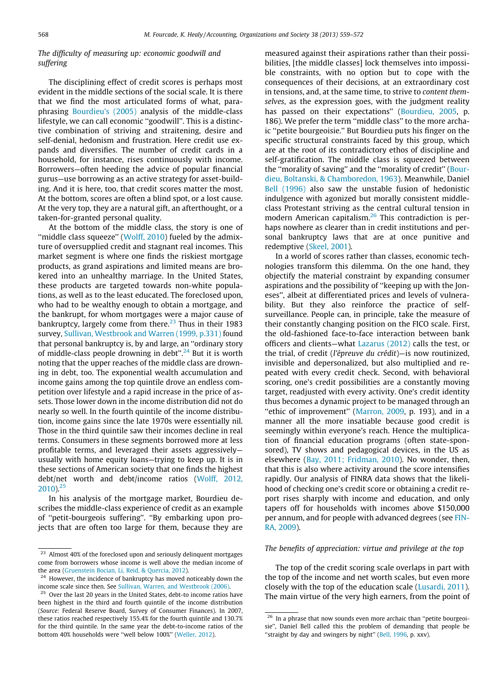#### The difficulty of measuring up: economic goodwill and suffering

The disciplining effect of credit scores is perhaps most evident in the middle sections of the social scale. It is there that we find the most articulated forms of what, paraphrasing [Bourdieu's \(2005\)](#page-11-0) analysis of the middle-class lifestyle, we can call economic ''goodwill''. This is a distinctive combination of striving and straitening, desire and self-denial, hedonism and frustration. Here credit use expands and diversifies. The number of credit cards in a household, for instance, rises continuously with income. Borrowers—often heeding the advice of popular financial gurus—use borrowing as an active strategy for asset-building. And it is here, too, that credit scores matter the most. At the bottom, scores are often a blind spot, or a lost cause. At the very top, they are a natural gift, an afterthought, or a taken-for-granted personal quality.

At the bottom of the middle class, the story is one of "middle class squeeze" ([Wolff, 2010\)](#page-13-0) fueled by the admixture of oversupplied credit and stagnant real incomes. This market segment is where one finds the riskiest mortgage products, as grand aspirations and limited means are brokered into an unhealthy marriage. In the United States, these products are targeted towards non-white populations, as well as to the least educated. The foreclosed upon, who had to be wealthy enough to obtain a mortgage, and the bankrupt, for whom mortgages were a major cause of bankruptcy, largely come from there.<sup>23</sup> Thus in their 1983 survey, [Sullivan, Westbrook and Warren \(1999, p.331\)](#page-12-0) found that personal bankruptcy is, by and large, an ''ordinary story of middle-class people drowning in debt".<sup>24</sup> But it is worth noting that the upper reaches of the middle class are drowning in debt, too. The exponential wealth accumulation and income gains among the top quintile drove an endless competition over lifestyle and a rapid increase in the price of assets. Those lower down in the income distribution did not do nearly so well. In the fourth quintile of the income distribution, income gains since the late 1970s were essentially nil. Those in the third quintile saw their incomes decline in real terms. Consumers in these segments borrowed more at less profitable terms, and leveraged their assets aggressively usually with home equity loans—trying to keep up. It is in these sections of American society that one finds the highest debt/net worth and debt/income ratios ([Wolff, 2012,](#page-13-0)  $2010$ ).<sup>25</sup>

In his analysis of the mortgage market, Bourdieu describes the middle-class experience of credit as an example of ''petit-bourgeois suffering''. ''By embarking upon projects that are often too large for them, because they are measured against their aspirations rather than their possibilities, [the middle classes] lock themselves into impossible constraints, with no option but to cope with the consequences of their decisions, at an extraordinary cost in tensions, and, at the same time, to strive to content themselves, as the expression goes, with the judgment reality has passed on their expectations'' [\(Bourdieu, 2005](#page-11-0), p. 186). We prefer the term ''middle class'' to the more archaic ''petite bourgeoisie.'' But Bourdieu puts his finger on the specific structural constraints faced by this group, which are at the root of its contradictory ethos of discipline and self-gratification. The middle class is squeezed between the "morality of saving" and the "morality of credit" [\(Bour](#page-11-0)[dieu, Boltanski, & Chamboredon, 1963\)](#page-11-0). Meanwhile, Daniel [Bell \(1996\)](#page-11-0) also saw the unstable fusion of hedonistic indulgence with agonized but morally consistent middleclass Protestant striving as the central cultural tension in modern American capitalism.<sup>26</sup> This contradiction is perhaps nowhere as clearer than in credit institutions and personal bankruptcy laws that are at once punitive and redemptive [\(Skeel, 2001](#page-12-0)).

In a world of scores rather than classes, economic technologies transform this dilemma. On the one hand, they objectify the material constraint by expanding consumer aspirations and the possibility of ''keeping up with the Joneses'', albeit at differentiated prices and levels of vulnerability. But they also reinforce the practice of selfsurveillance. People can, in principle, take the measure of their constantly changing position on the FICO scale. First, the old-fashioned face-to-face interaction between bank officers and clients—what [Lazarus \(2012\)](#page-12-0) calls the test, or the trial, of credit (l'épreuve du crédit)—is now routinized, invisible and depersonalized, but also multiplied and repeated with every credit check. Second, with behavioral scoring, one's credit possibilities are a constantly moving target, readjusted with every activity. One's credit identity thus becomes a dynamic project to be managed through an ''ethic of improvement'' [\(Marron, 2009,](#page-12-0) p. 193), and in a manner all the more insatiable because good credit is seemingly within everyone's reach. Hence the multiplication of financial education programs (often state-sponsored), TV shows and pedagogical devices, in the US as elsewhere ( $Bay$ , 2011; Fridman, 2010). No wonder, then, that this is also where activity around the score intensifies rapidly. Our analysis of FINRA data shows that the likelihood of checking one's credit score or obtaining a credit report rises sharply with income and education, and only tapers off for households with incomes above \$150,000 per annum, and for people with advanced degrees (see [FIN-](#page-11-0)[RA, 2009](#page-11-0)).

#### The benefits of appreciation: virtue and privilege at the top

The top of the credit scoring scale overlaps in part with the top of the income and net worth scales, but even more closely with the top of the education scale ([Lusardi, 2011](#page-12-0)). The main virtue of the very high earners, from the point of

Almost 40% of the foreclosed upon and seriously delinquent mortgages come from borrowers whose income is well above the median income of the area ([Gruenstein Bocian, Li, Reid, & Quercia, 2012\)](#page-12-0).

<sup>&</sup>lt;sup>24</sup> However, the incidence of bankruptcy has moved noticeably down the income scale since then. See [Sullivan, Warren, and Westbrook \(2006\).](#page-12-0)

 $25$  Over the last 20 years in the United States, debt-to income ratios have been highest in the third and fourth quintile of the income distribution (Source: Federal Reserve Board, Survey of Consumer Finances). In 2007, these ratios reached respectively 155.4% for the fourth quintile and 130.7% for the third quintile. In the same year the debt-to-income ratios of the bottom 40% households were ''well below 100%'' [\(Weller, 2012](#page-13-0)).

<sup>&</sup>lt;sup>26</sup> In a phrase that now sounds even more archaic than "petite bourgeoisie'', Daniel Bell called this the problem of demanding that people be "straight by day and swingers by night" [\(Bell, 1996,](#page-11-0) p. xxv).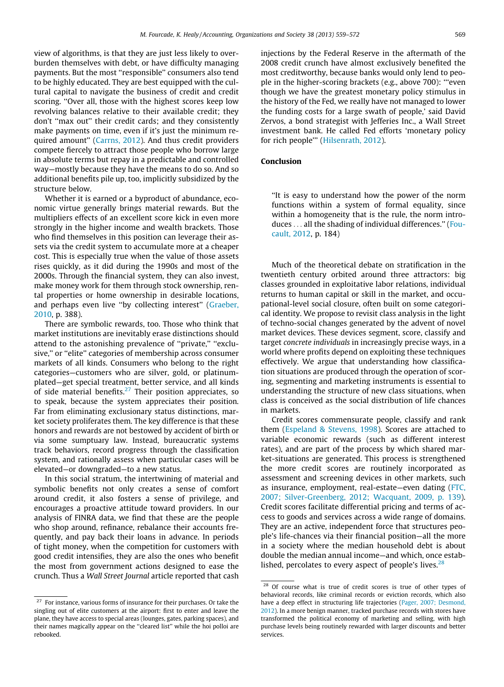view of algorithms, is that they are just less likely to overburden themselves with debt, or have difficulty managing payments. But the most ''responsible'' consumers also tend to be highly educated. They are best equipped with the cultural capital to navigate the business of credit and credit scoring. ''Over all, those with the highest scores keep low revolving balances relative to their available credit; they don't ''max out'' their credit cards; and they consistently make payments on time, even if it's just the minimum required amount'' ([Carrns, 2012\)](#page-11-0). And thus credit providers compete fiercely to attract those people who borrow large in absolute terms but repay in a predictable and controlled way—mostly because they have the means to do so. And so additional benefits pile up, too, implicitly subsidized by the structure below.

Whether it is earned or a byproduct of abundance, economic virtue generally brings material rewards. But the multipliers effects of an excellent score kick in even more strongly in the higher income and wealth brackets. Those who find themselves in this position can leverage their assets via the credit system to accumulate more at a cheaper cost. This is especially true when the value of those assets rises quickly, as it did during the 1990s and most of the 2000s. Through the financial system, they can also invest, make money work for them through stock ownership, rental properties or home ownership in desirable locations, and perhaps even live "by collecting interest" [\(Graeber,](#page-12-0) [2010,](#page-12-0) p. 388).

There are symbolic rewards, too. Those who think that market institutions are inevitably erase distinctions should attend to the astonishing prevalence of "private," "exclusive,'' or ''elite'' categories of membership across consumer markets of all kinds. Consumers who belong to the right categories—customers who are silver, gold, or platinumplated—get special treatment, better service, and all kinds of side material benefits. $27$  Their position appreciates, so to speak, because the system appreciates their position. Far from eliminating exclusionary status distinctions, market society proliferates them. The key difference is that these honors and rewards are not bestowed by accident of birth or via some sumptuary law. Instead, bureaucratic systems track behaviors, record progress through the classification system, and rationally assess when particular cases will be elevated—or downgraded—to a new status.

In this social stratum, the intertwining of material and symbolic benefits not only creates a sense of comfort around credit, it also fosters a sense of privilege, and encourages a proactive attitude toward providers. In our analysis of FINRA data, we find that these are the people who shop around, refinance, rebalance their accounts frequently, and pay back their loans in advance. In periods of tight money, when the competition for customers with good credit intensifies, they are also the ones who benefit the most from government actions designed to ease the crunch. Thus a Wall Street Journal article reported that cash

<sup>27</sup> For instance, various forms of insurance for their purchases. Or take the singling out of elite customers at the airport: first to enter and leave the plane, they have access to special areas (lounges, gates, parking spaces), and their names magically appear on the ''cleared list'' while the hoi polloi are rebooked.

injections by the Federal Reserve in the aftermath of the 2008 credit crunch have almost exclusively benefited the most creditworthy, because banks would only lend to people in the higher-scoring brackets (e.g., above 700): '''even though we have the greatest monetary policy stimulus in the history of the Fed, we really have not managed to lower the funding costs for a large swath of people,' said David Zervos, a bond strategist with Jefferies Inc., a Wall Street investment bank. He called Fed efforts 'monetary policy for rich people''' [\(Hilsenrath, 2012](#page-12-0)).

#### Conclusion

''It is easy to understand how the power of the norm functions within a system of formal equality, since within a homogeneity that is the rule, the norm introduces ... all the shading of individual differences.'' [\(Fou](#page-11-0)[cault, 2012,](#page-11-0) p. 184)

Much of the theoretical debate on stratification in the twentieth century orbited around three attractors: big classes grounded in exploitative labor relations, individual returns to human capital or skill in the market, and occupational-level social closure, often built on some categorical identity. We propose to revisit class analysis in the light of techno-social changes generated by the advent of novel market devices. These devices segment, score, classify and target concrete individuals in increasingly precise ways, in a world where profits depend on exploiting these techniques effectively. We argue that understanding how classification situations are produced through the operation of scoring, segmenting and marketing instruments is essential to understanding the structure of new class situations, when class is conceived as the social distribution of life chances in markets.

Credit scores commensurate people, classify and rank them [\(Espeland & Stevens, 1998](#page-11-0)). Scores are attached to variable economic rewards (such as different interest rates), and are part of the process by which shared market-situations are generated. This process is strengthened the more credit scores are routinely incorporated as assessment and screening devices in other markets, such as insurance, employment, real-estate—even dating ([FTC,](#page-12-0) [2007; Silver-Greenberg, 2012; Wacquant, 2009, p. 139](#page-12-0)). Credit scores facilitate differential pricing and terms of access to goods and services across a wide range of domains. They are an active, independent force that structures people's life-chances via their financial position—all the more in a society where the median household debt is about double the median annual income—and which, once established, percolates to every aspect of people's lives. $28$ 

<sup>&</sup>lt;sup>28</sup> Of course what is true of credit scores is true of other types of behavioral records, like criminal records or eviction records, which also have a deep effect in structuring life trajectories ([Pager, 2007; Desmond,](#page-12-0) [2012\)](#page-12-0). In a more benign manner, tracked purchase records with stores have transformed the political economy of marketing and selling, with high purchase levels being routinely rewarded with larger discounts and better services.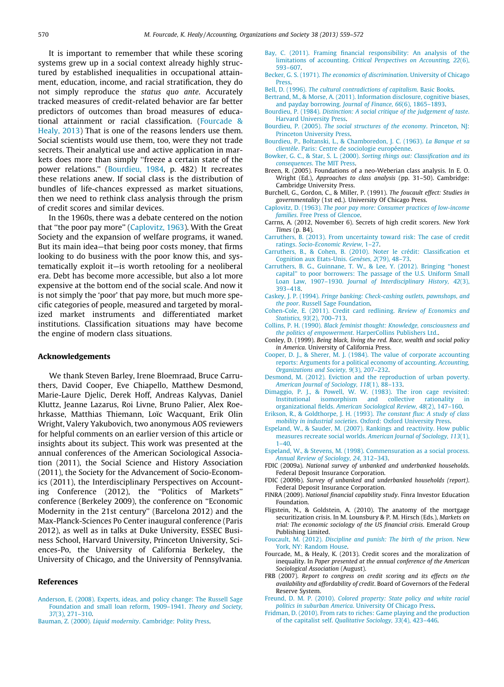<span id="page-11-0"></span>It is important to remember that while these scoring systems grew up in a social context already highly structured by established inequalities in occupational attainment, education, income, and racial stratification, they do not simply reproduce the status quo ante. Accurately tracked measures of credit-related behavior are far better predictors of outcomes than broad measures of educational attainment or racial classification. (Fourcade & Healy, 2013) That is one of the reasons lenders use them. Social scientists would use them, too, were they not trade secrets. Their analytical use and active application in markets does more than simply ''freeze a certain state of the power relations.'' (Bourdieu, 1984, p. 482) It recreates these relations anew. If social class is the distribution of bundles of life-chances expressed as market situations, then we need to rethink class analysis through the prism of credit scores and similar devices.

In the 1960s, there was a debate centered on the notion that ''the poor pay more'' (Caplovitz, 1963). With the Great Society and the expansion of welfare programs, it waned. But its main idea—that being poor costs money, that firms looking to do business with the poor know this, and systematically exploit it—is worth retooling for a neoliberal era. Debt has become more accessible, but also a lot more expensive at the bottom end of the social scale. And now it is not simply the 'poor' that pay more, but much more specific categories of people, measured and targeted by moralized market instruments and differentiated market institutions. Classification situations may have become the engine of modern class situations.

#### Acknowledgements

We thank Steven Barley, Irene Bloemraad, Bruce Carruthers, David Cooper, Eve Chiapello, Matthew Desmond, Marie-Laure Djelic, Derek Hoff, Andreas Kalyvas, Daniel Kluttz, Jeanne Lazarus, Roi Livne, Bruno Palier, Alex Roehrkasse, Matthias Thiemann, Loïc Wacquant, Erik Olin Wright, Valery Yakubovich, two anonymous AOS reviewers for helpful comments on an earlier version of this article or insights about its subject. This work was presented at the annual conferences of the American Sociological Association (2011), the Social Science and History Association (2011), the Society for the Advancement of Socio-Economics (2011), the Interdisciplinary Perspectives on Accounting Conference (2012), the ''Politics of Markets'' conference (Berkeley 2009), the conference on ''Economic Modernity in the 21st century'' (Barcelona 2012) and the Max-Planck-Sciences Po Center inaugural conference (Paris 2012), as well as in talks at Duke University, ESSEC Business School, Harvard University, Princeton University, Sciences-Po, the University of California Berkeley, the University of Chicago, and the University of Pennsylvania.

#### References

Bauman, Z. (2000). Liquid modernity[. Cambridge: Polity Press](http://refhub.elsevier.com/S0361-3682(13)00074-3/h0010).

- [Bay, C. \(2011\). Framing financial responsibility: An analysis of the](http://refhub.elsevier.com/S0361-3682(13)00074-3/h0015) limitations of accounting. [Critical Perspectives on Accounting, 22](http://refhub.elsevier.com/S0361-3682(13)00074-3/h0015)(6), [593–607.](http://refhub.elsevier.com/S0361-3682(13)00074-3/h0015)
- Becker, G. S. (1971). [The economics of discrimination](http://refhub.elsevier.com/S0361-3682(13)00074-3/h0020). University of Chicago [Press.](http://refhub.elsevier.com/S0361-3682(13)00074-3/h0020)
- Bell, D. (1996). [The cultural contradictions of capitalism](http://refhub.elsevier.com/S0361-3682(13)00074-3/h0025). Basic Books.
- [Bertrand, M., & Morse, A. \(2011\). Information disclosure, cognitive biases,](http://refhub.elsevier.com/S0361-3682(13)00074-3/h0030) [and payday borrowing.](http://refhub.elsevier.com/S0361-3682(13)00074-3/h0030) Journal of Finance, 66(6), 1865–1893.
- Bourdieu, P. (1984). [Distinction: A social critique of the judgement of taste](http://refhub.elsevier.com/S0361-3682(13)00074-3/h0035). [Harvard University Press.](http://refhub.elsevier.com/S0361-3682(13)00074-3/h0035)
- Bourdieu, P. (2005). [The social structures of the economy](http://refhub.elsevier.com/S0361-3682(13)00074-3/h0040). Princeton, NJ: [Princeton University Press](http://refhub.elsevier.com/S0361-3682(13)00074-3/h0040).
- [Bourdieu, P., Boltanski, L., & Chamboredon, J. C. \(1963\).](http://refhub.elsevier.com/S0361-3682(13)00074-3/h0045) La Banque et sa clientèle[. Paris: Centre de sociologie européenne](http://refhub.elsevier.com/S0361-3682(13)00074-3/h0045).
- Bowker, G. C., & Star, S. L. (2000). [Sorting things out: Classification and its](http://refhub.elsevier.com/S0361-3682(13)00074-3/h0050) consequences[. The MIT Press.](http://refhub.elsevier.com/S0361-3682(13)00074-3/h0050)
- Breen, R. (2005). Foundations of a neo-Weberian class analysis. In E. O. Wright (Ed.), Approaches to class analysis (pp. 31–50). Cambridge: Cambridge University Press.
- Burchell, G., Gordon, C., & Miller, P. (1991). The foucault effect: Studies in governmentality (1st ed.). University Of Chicago Press.
- Caplovitz, D. (1963). [The poor pay more: Consumer practices of low-income](http://refhub.elsevier.com/S0361-3682(13)00074-3/h0065) families[. Free Press of Glencoe](http://refhub.elsevier.com/S0361-3682(13)00074-3/h0065).
- Carrns, A. (2012, November 6). Secrets of high credit scorers. New York Times (p. B4).
- [Carruthers, B. \(2013\). From uncertainty toward risk: The case of credit](http://refhub.elsevier.com/S0361-3682(13)00074-3/h0075) ratings. [Socio-Economic Review](http://refhub.elsevier.com/S0361-3682(13)00074-3/h0075), 1–27.
- [Carruthers, B., & Cohen, B. \(2010\). Noter le crédit: Classification et](http://refhub.elsevier.com/S0361-3682(13)00074-3/h0080) [Cognition aux Etats-Unis.](http://refhub.elsevier.com/S0361-3682(13)00074-3/h0080) Genèses, 2(79), 48–73.
- [Carruthers, B. G., Guinnane, T. W., & Lee, Y. \(2012\). Bringing ''honest](http://refhub.elsevier.com/S0361-3682(13)00074-3/h0085) [capital'' to poor borrowers: The passage of the U.S. Uniform Small](http://refhub.elsevier.com/S0361-3682(13)00074-3/h0085) Loan Law, 1907–1930. [Journal of Interdisciplinary History, 42](http://refhub.elsevier.com/S0361-3682(13)00074-3/h0085)(3), [393–418.](http://refhub.elsevier.com/S0361-3682(13)00074-3/h0085)
- Caskey, J. P. (1994). [Fringe banking: Check-cashing outlets, pawnshops, and](http://refhub.elsevier.com/S0361-3682(13)00074-3/h0090) the poor[. Russell Sage Foundation.](http://refhub.elsevier.com/S0361-3682(13)00074-3/h0090)
- [Cohen-Cole, E. \(2011\). Credit card redlining.](http://refhub.elsevier.com/S0361-3682(13)00074-3/h0095) Review of Economics and Statistics, 93[\(2\), 700–713](http://refhub.elsevier.com/S0361-3682(13)00074-3/h0095).
- Collins, P. H. (1990). [Black feminist thought: Knowledge, consciousness and](http://refhub.elsevier.com/S0361-3682(13)00074-3/h0100) the politics of empowerment[. HarperCollins Publishers Ltd.](http://refhub.elsevier.com/S0361-3682(13)00074-3/h0100).
- Conley, D. (1999). Being black, living the red. Race, wealth and social policy in America. University of California Press.
- [Cooper, D. J., & Sherer, M. J. \(1984\). The value of corporate accounting](http://refhub.elsevier.com/S0361-3682(13)00074-3/h0110) [reports: Arguments for a political economy of accounting.](http://refhub.elsevier.com/S0361-3682(13)00074-3/h0110) Accounting, [Organizations and Society, 9](http://refhub.elsevier.com/S0361-3682(13)00074-3/h0110)(3), 207–232.
- [Desmond, M. \(2012\). Eviction and the reproduction of urban poverty.](http://refhub.elsevier.com/S0361-3682(13)00074-3/h0115) [American Journal of Sociology, 118](http://refhub.elsevier.com/S0361-3682(13)00074-3/h0115)(1), 88–133.
- [Dimaggio, P. J., & Powell, W. W. \(1983\). The iron cage revisited:](http://refhub.elsevier.com/S0361-3682(13)00074-3/h0120) [Institutional isomorphism and collective rationality in](http://refhub.elsevier.com/S0361-3682(13)00074-3/h0120) organizational fields. [American Sociological Review, 48](http://refhub.elsevier.com/S0361-3682(13)00074-3/h0120)(2), 147–160.
- [Erikson, R., & Goldthorpe, J. H. \(1993\).](http://refhub.elsevier.com/S0361-3682(13)00074-3/h0125) The constant flux: A study of class mobility in industrial societies[. Oxford: Oxford University Press](http://refhub.elsevier.com/S0361-3682(13)00074-3/h0125).
- [Espeland, W., & Sauder, M. \(2007\). Rankings and reactivity. How public](http://refhub.elsevier.com/S0361-3682(13)00074-3/h0130) measures recreate social worlds. [American Journal of Sociology, 113](http://refhub.elsevier.com/S0361-3682(13)00074-3/h0130)(1),  $1 - 40$
- [Espeland, W., & Stevens, M. \(1998\). Commensuration as a social process.](http://refhub.elsevier.com/S0361-3682(13)00074-3/h0135) [Annual Review of Sociology, 24](http://refhub.elsevier.com/S0361-3682(13)00074-3/h0135), 312–343.
- FDIC (2009a). National survey of unbanked and underbanked households. Federal Deposit Insurance Corporation.
- FDIC (2009b). Survey of unbanked and underbanked households (report). Federal Deposit Insurance Corporation.
- FINRA (2009). National financial capability study. Finra Investor Education Foundation.
- Fligstein, N., & Goldstein, A. (2010). The anatomy of the mortgage securitization crisis. In M. Lounsbury & P. M. Hirsch (Eds.), Markets on trial: The economic sociology of the US financial crisis. Emerald Group Publishing Limited.
- Foucault, M. (2012). [Discipline and punish: The birth of the prison](http://refhub.elsevier.com/S0361-3682(13)00074-3/h0160). New [York, NY: Random House](http://refhub.elsevier.com/S0361-3682(13)00074-3/h0160).
- Fourcade, M., & Healy, K. (2013). Credit scores and the moralization of inequality. In Paper presented at the annual conference of the American Sociological Association (August).
- FRB (2007). Report to congress on credit scoring and its effects on the availability and affordability of credit. Board of Governors of the Federal Reserve System.
- Freund, D. M. P. (2010). [Colored property: State policy and white racial](http://refhub.elsevier.com/S0361-3682(13)00074-3/h0175) politics in suburban America[. University Of Chicago Press.](http://refhub.elsevier.com/S0361-3682(13)00074-3/h0175)
- [Fridman, D. \(2010\). From rats to riches: Game playing and the production](http://refhub.elsevier.com/S0361-3682(13)00074-3/h0180) of the capitalist self. [Qualitative Sociology, 33](http://refhub.elsevier.com/S0361-3682(13)00074-3/h0180)(4), 423–446.

[Anderson, E. \(2008\). Experts, ideas, and policy change: The Russell Sage](http://refhub.elsevier.com/S0361-3682(13)00074-3/h0005) [Foundation and small loan reform, 1909–1941.](http://refhub.elsevier.com/S0361-3682(13)00074-3/h0005) Theory and Society, 37[\(3\), 271–310](http://refhub.elsevier.com/S0361-3682(13)00074-3/h0005).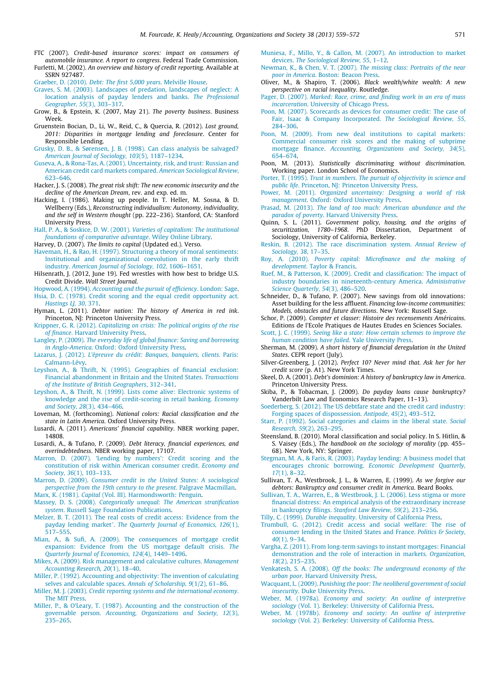- <span id="page-12-0"></span>FTC (2007). Credit-based insurance scores: impact on consumers of automobile insurance. A report to congress. Federal Trade Commission.
- Furletti, M. (2002). An overview and history of credit reporting. Available at SSRN 927487. Graeber, D. (2010). [Debt: The first 5,000 years](http://refhub.elsevier.com/S0361-3682(13)00074-3/h0195). Melville House.
- [Graves, S. M. \(2003\). Landscapes of predation, landscapes of neglect: A](http://refhub.elsevier.com/S0361-3682(13)00074-3/h0200) [location analysis of payday lenders and banks.](http://refhub.elsevier.com/S0361-3682(13)00074-3/h0200) The Professional
- [Geographer, 55](http://refhub.elsevier.com/S0361-3682(13)00074-3/h0200)(3), 303–317. Grow, B., & Epstein, K. (2007, May 21). The poverty business. Business Week.
- Gruenstein Bocian, D., Li, W., Reid, C., & Quercia, R. (2012). Lost ground, 2011: Disparities in mortgage lending and foreclosure. Center for Responsible Lending.
- [Grusky, D. B., & Sørensen, J. B. \(1998\). Can class analysis be salvaged?](http://refhub.elsevier.com/S0361-3682(13)00074-3/h0215) [American Journal of Sociology, 103](http://refhub.elsevier.com/S0361-3682(13)00074-3/h0215)(5), 1187–1234.
- [Guseva, A., & Rona-Tas, A. \(2001\). Uncertainty, risk, and trust: Russian and](http://refhub.elsevier.com/S0361-3682(13)00074-3/h0220) [American credit card markets compared.](http://refhub.elsevier.com/S0361-3682(13)00074-3/h0220) American Sociological Review, [623–646.](http://refhub.elsevier.com/S0361-3682(13)00074-3/h0220)
- Hacker, J. S. (2008). The great risk shift: The new economic insecurity and the decline of the American Dream, rev. and exp. ed. m.
- Hacking, I. (1986). Making up people. In T. Heller, M. Sosna, & D. Wellberry (Eds.), Reconstructing individualism: Autonomy, individuality, and the self in Western thought (pp. 222–236). Stanford, CA: Stanford University Press.
- Hall, P. A., & Soskice, D. W. (2001). [Varieties of capitalism: The institutional](http://refhub.elsevier.com/S0361-3682(13)00074-3/h0235) [foundations of comparative advantage](http://refhub.elsevier.com/S0361-3682(13)00074-3/h0235). Wiley Online Library.
- Harvey, D. (2007). The limits to capital (Updated ed.). Verso.
- [Haveman, H., & Rao, H. \(1997\). Structuring a theory of moral sentiments:](http://refhub.elsevier.com/S0361-3682(13)00074-3/h0245) [Institutional and organizational coevolution in the early thrift](http://refhub.elsevier.com/S0361-3682(13)00074-3/h0245) industry. [American Journal of Sociology, 102](http://refhub.elsevier.com/S0361-3682(13)00074-3/h0245), 1606–1651.
- Hilsenrath, J. (2012, June 19). Fed wrestles with how best to bridge U.S. Credit Divide. Wall Street Journal.
- Hopwood, A. (1994). [Accounting and the pursuit of efficiency](http://refhub.elsevier.com/S0361-3682(13)00074-3/h0255). London: Sage. [Hsia, D. C. \(1978\). Credit scoring and the equal credit opportunity act.](http://refhub.elsevier.com/S0361-3682(13)00074-3/h0260)
- [Hastings LJ, 30](http://refhub.elsevier.com/S0361-3682(13)00074-3/h0260), 371. Hyman, L. (2011). Debtor nation: The history of America in red ink. Princeton, NJ: Princeton University Press.
- Krippner, G. R. (2012). [Capitalizing on crisis: The political origins of the rise](http://refhub.elsevier.com/S0361-3682(13)00074-3/h0270) of finance[. Harvard University Press](http://refhub.elsevier.com/S0361-3682(13)00074-3/h0270).
- Langley, P. (2009). [The everyday life of global finance: Saving and borrowing](http://refhub.elsevier.com/S0361-3682(13)00074-3/h0275) in Anglo-America[. Oxford: Oxford University Press.](http://refhub.elsevier.com/S0361-3682(13)00074-3/h0275)
- Lazarus, J. (2012). [L'épreuve du crédit: Banques, banquiers, clients](http://refhub.elsevier.com/S0361-3682(13)00074-3/h0280). Paris: [Calmann-Lévy](http://refhub.elsevier.com/S0361-3682(13)00074-3/h0280).
- [Leyshon, A., & Thrift, N. \(1995\). Geographies of financial exclusion:](http://refhub.elsevier.com/S0361-3682(13)00074-3/h0285) [Financial abandonment in Britain and the United States.](http://refhub.elsevier.com/S0361-3682(13)00074-3/h0285) Transactions [of the Institute of British Geographers](http://refhub.elsevier.com/S0361-3682(13)00074-3/h0285), 312–341.
- [Leyshon, A., & Thrift, N. \(1999\). Lists come alive: Electronic systems of](http://refhub.elsevier.com/S0361-3682(13)00074-3/h0290) [knowledge and the rise of credit-scoring in retail banking.](http://refhub.elsevier.com/S0361-3682(13)00074-3/h0290) Economy [and Society, 28](http://refhub.elsevier.com/S0361-3682(13)00074-3/h0290)(3), 434–466.
- Loveman, M. (forthcoming). National colors: Racial classification and the state in Latin America. Oxford University Press.
- Lusardi, A. (2011). Americans' financial capability. NBER working paper, 14808.
- Lusardi, A., & Tufano, P. (2009). Debt literacy, financial experiences, and overindebtedness. NBER working paper, 17107.
- [Marron, D. \(2007\). 'Lending by numbers': Credit scoring and the](http://refhub.elsevier.com/S0361-3682(13)00074-3/h0310) [constitution of risk within American consumer credit.](http://refhub.elsevier.com/S0361-3682(13)00074-3/h0310) Economy and Society, 36[\(1\), 103–133.](http://refhub.elsevier.com/S0361-3682(13)00074-3/h0310)
- Marron, D. (2009). [Consumer credit in the United States: A sociological](http://refhub.elsevier.com/S0361-3682(13)00074-3/h0315) [perspective from the 19th century to the present](http://refhub.elsevier.com/S0361-3682(13)00074-3/h0315). Palgrave Macmillan.
- Marx, K. (1981). Capital [\(Vol. III\). Harmondsworth: Penguin.](http://refhub.elsevier.com/S0361-3682(13)00074-3/h0320)
- Massey, D. S. (2008). [Categorically unequal: The American stratification](http://refhub.elsevier.com/S0361-3682(13)00074-3/h0325) system[. Russell Sage Foundation Publications.](http://refhub.elsevier.com/S0361-3682(13)00074-3/h0325)
- [Melzer, B. T. \(2011\). The real costs of credit access: Evidence from the](http://refhub.elsevier.com/S0361-3682(13)00074-3/h0330) [payday](http://refhub.elsevier.com/S0361-3682(13)00074-3/h0330) [lending](http://refhub.elsevier.com/S0361-3682(13)00074-3/h0330) [market](http://refhub.elsevier.com/S0361-3682(13)00074-3/h0330)<sup>\*</sup>. [The Quarterly Journal of Economics, 126](http://refhub.elsevier.com/S0361-3682(13)00074-3/h0330)(1), [517–555.](http://refhub.elsevier.com/S0361-3682(13)00074-3/h0330)
- [Mian, A., & Sufi, A. \(2009\). The consequences of mortgage credit](http://refhub.elsevier.com/S0361-3682(13)00074-3/h0335) [expansion: Evidence from the US mortgage default crisis.](http://refhub.elsevier.com/S0361-3682(13)00074-3/h0335) The [Quarterly Journal of Economics, 124](http://refhub.elsevier.com/S0361-3682(13)00074-3/h0335)(4), 1449–1496.
- [Mikes, A. \(2009\). Risk management and calculative cultures.](http://refhub.elsevier.com/S0361-3682(13)00074-3/h0340) Management [Accounting Research, 20](http://refhub.elsevier.com/S0361-3682(13)00074-3/h0340)(1), 18–40.
- [Miller, P. \(1992\). Accounting and objectivity: The invention of calculating](http://refhub.elsevier.com/S0361-3682(13)00074-3/h0345) [selves and calculable spaces.](http://refhub.elsevier.com/S0361-3682(13)00074-3/h0345) Annals of Scholarship, 9(1/2), 61–86.
- Miller, M. J. (2003). [Credit reporting systems and the international economy](http://refhub.elsevier.com/S0361-3682(13)00074-3/h0350). [The MIT Press.](http://refhub.elsevier.com/S0361-3682(13)00074-3/h0350)
- [Miller, P., & O'Leary, T. \(1987\). Accounting and the construction of the](http://refhub.elsevier.com/S0361-3682(13)00074-3/h0355) governable person. [Accounting, Organizations and Society, 12](http://refhub.elsevier.com/S0361-3682(13)00074-3/h0355)(3), [235–265.](http://refhub.elsevier.com/S0361-3682(13)00074-3/h0355)
- [Muniesa, F., Millo, Y., & Callon, M. \(2007\). An introduction to market](http://refhub.elsevier.com/S0361-3682(13)00074-3/h0360) devices. [The Sociological Review, 55](http://refhub.elsevier.com/S0361-3682(13)00074-3/h0360), 1–12.
- Newman, K., & Chen, V. T. (2007). [The missing class: Portraits of the near](http://refhub.elsevier.com/S0361-3682(13)00074-3/h0365) poor in America[. Boston: Beacon Press.](http://refhub.elsevier.com/S0361-3682(13)00074-3/h0365)
- Oliver, M., & Shapiro, T. (2006). Black wealth/white wealth: A new perspective on racial inequality. Routledge.
- Pager, D. (2007). [Marked: Race, crime, and finding work in an era of mass](http://refhub.elsevier.com/S0361-3682(13)00074-3/h0375) incarceration[. University of Chicago Press](http://refhub.elsevier.com/S0361-3682(13)00074-3/h0375).
- [Poon, M. \(2007\). Scorecards as devices for consumer credit: The case of](http://refhub.elsevier.com/S0361-3682(13)00074-3/h0380) [Fair, Isaac & Company Incorporated.](http://refhub.elsevier.com/S0361-3682(13)00074-3/h0380) The Sociological Review, 55, [284–306.](http://refhub.elsevier.com/S0361-3682(13)00074-3/h0380)
- [Poon, M. \(2009\). From new deal institutions to capital markets:](http://refhub.elsevier.com/S0361-3682(13)00074-3/h0385) [Commercial consumer risk scores and the making of subprime](http://refhub.elsevier.com/S0361-3682(13)00074-3/h0385) mortgage finance. [Accounting, Organizations and Society, 34](http://refhub.elsevier.com/S0361-3682(13)00074-3/h0385)(5), [654–674.](http://refhub.elsevier.com/S0361-3682(13)00074-3/h0385)
- Poon, M. (2013). Statistically discriminating without discrimination. Working paper. London School of Economics.
- Porter, T. (1995). [Trust in numbers. The pursuit of objectivity in science and](http://refhub.elsevier.com/S0361-3682(13)00074-3/h0395) public life[. Princeton, NJ: Princeton University Press.](http://refhub.elsevier.com/S0361-3682(13)00074-3/h0395)
- Power, M. (2011). [Organized uncertainty: Designing a world of risk](http://refhub.elsevier.com/S0361-3682(13)00074-3/h0400) management[. Oxford: Oxford University Press](http://refhub.elsevier.com/S0361-3682(13)00074-3/h0400).
- Prasad, M. (2013). [The land of too much: American abundance and the](http://refhub.elsevier.com/S0361-3682(13)00074-3/h0405) paradox of poverty[. Harvard University Press](http://refhub.elsevier.com/S0361-3682(13)00074-3/h0405).
- Quinn, S. L. (2011). Government policy, housing, and the origins of securitization, 1780–1968. PhD Dissertation, Department of Sociology, University of California, Berkeley.
- [Reskin, B. \(2012\). The race discrimination system.](http://refhub.elsevier.com/S0361-3682(13)00074-3/h0415) Annual Review of [Sociology, 38](http://refhub.elsevier.com/S0361-3682(13)00074-3/h0415), 17–35.
- Roy, A. (2010). [Poverty capital: Microfinance and the making of](http://refhub.elsevier.com/S0361-3682(13)00074-3/h0420) development[. Taylor & Francis.](http://refhub.elsevier.com/S0361-3682(13)00074-3/h0420)
- [Ruef, M., & Patterson, K. \(2009\). Credit and classification: The impact of](http://refhub.elsevier.com/S0361-3682(13)00074-3/h0425) [industry boundaries in nineteenth-century America.](http://refhub.elsevier.com/S0361-3682(13)00074-3/h0425) Administrative [Science Quarterly, 54](http://refhub.elsevier.com/S0361-3682(13)00074-3/h0425)(3), 486–520.
- Schneider, D., & Tufano, P. (2007). New savings from old innovations: Asset building for the less affluent. Financing low-income communities: Models, obstacles and future directions. New York: Russell Sage.
- Schor, P. (2009). Compter et classer: Histoire des recensements Américains. Editions de l'Ecole Pratiques de Hautes Etudes en Sciences Sociales.
- Scott, J. C. (1999). [Seeing like a state: How certain schemes to improve the](http://refhub.elsevier.com/S0361-3682(13)00074-3/h0440) [human condition have failed](http://refhub.elsevier.com/S0361-3682(13)00074-3/h0440). Yale University Press.
- Sherman, M. (2009). A short history of financial deregulation in the United States. CEPR report (July).
- Silver-Greenberg, J. (2012). Perfect 10? Never mind that. Ask her for her credit score (p. A1). New York Times.
- Skeel, D. A. (2001). Debt's dominion: A history of bankruptcy law in America. Princeton University Press.
- Skiba, P., & Tobacman, J. (2009). Do payday loans cause bankruptcy? Vanderbilt Law and Economics Research Paper, 11–13).
- [Soederberg, S. \(2012\). The US debtfare state and the credit card industry:](http://refhub.elsevier.com/S0361-3682(13)00074-3/h0465) [Forging spaces of dispossession.](http://refhub.elsevier.com/S0361-3682(13)00074-3/h0465) Antipode, 45(2), 493–512.
- [Starr, P. \(1992\). Social categories and claims in the liberal state.](http://refhub.elsevier.com/S0361-3682(13)00074-3/h0470) Social Research, 59[\(2\), 263–295](http://refhub.elsevier.com/S0361-3682(13)00074-3/h0470).
- Steensland, B. (2010). Moral classification and social policy. In S. Hitlin, & S. Vaisey (Eds.), The handbook on the sociology of morality (pp. 455– 68). New York, NY: Springer.
- [Stegman, M. A., & Faris, R. \(2003\). Payday lending: A business model that](http://refhub.elsevier.com/S0361-3682(13)00074-3/h0480) encourages chronic borrowing. [Economic Development Quarterly,](http://refhub.elsevier.com/S0361-3682(13)00074-3/h0480) 17[\(1\), 8–32.](http://refhub.elsevier.com/S0361-3682(13)00074-3/h0480)
- Sullivan, T. A., Westbrook, J. L., & Warren, E. (1999). As we forgive our debtors: Bankruptcy and consumer credit in America. Beard Books.
- [Sullivan, T. A., Warren, E., & Westbrook, J. L. \(2006\). Less stigma or more](http://refhub.elsevier.com/S0361-3682(13)00074-3/h0490) [financial distress: An empirical analysis of the extraordinary increase](http://refhub.elsevier.com/S0361-3682(13)00074-3/h0490) in bankruptcy filings. [Stanford Law Review, 59](http://refhub.elsevier.com/S0361-3682(13)00074-3/h0490)(2), 213–256.
- Tilly, C. (1999). Durable inequality[. University of California Press](http://refhub.elsevier.com/S0361-3682(13)00074-3/h0495).
- [Trumbull, G. \(2012\). Credit access and social welfare: The rise of](http://refhub.elsevier.com/S0361-3682(13)00074-3/h0500) [consumer lending in the United States and France.](http://refhub.elsevier.com/S0361-3682(13)00074-3/h0500) Politics & Society, 40[\(1\), 9–34.](http://refhub.elsevier.com/S0361-3682(13)00074-3/h0500)
- [Vargha, Z. \(2011\). From long-term savings to instant mortgages: Financial](http://refhub.elsevier.com/S0361-3682(13)00074-3/h0505) [demonstration and the role of interaction in markets.](http://refhub.elsevier.com/S0361-3682(13)00074-3/h0505) Organization, 18[\(2\), 215–235](http://refhub.elsevier.com/S0361-3682(13)00074-3/h0505).
- Venkatesh, S. A. (2008). [Off the books: The underground economy of the](http://refhub.elsevier.com/S0361-3682(13)00074-3/h0510) urban poor[. Harvard University Press.](http://refhub.elsevier.com/S0361-3682(13)00074-3/h0510)
- Wacquant, L. (2009). [Punishing the poor: The neoliberal government of social](http://refhub.elsevier.com/S0361-3682(13)00074-3/h0515) insecurity[. Duke University Press.](http://refhub.elsevier.com/S0361-3682(13)00074-3/h0515)
- Weber, M. (1978a). [Economy and society: An outline of interpretive](http://refhub.elsevier.com/S0361-3682(13)00074-3/h0520) sociology [\(Vol. 1\). Berkeley: University of California Press](http://refhub.elsevier.com/S0361-3682(13)00074-3/h0520).
- Weber, M. (1978b). [Economy and society: An outline of interpretive](http://refhub.elsevier.com/S0361-3682(13)00074-3/h0525) sociology [\(Vol. 2\). Berkeley: University of California Press](http://refhub.elsevier.com/S0361-3682(13)00074-3/h0525).